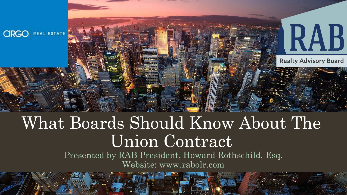

# What Boards Should Know About The Union Contract

Presented by RAB President, Howard Rothschild, Esq. Website: www.rabolr.com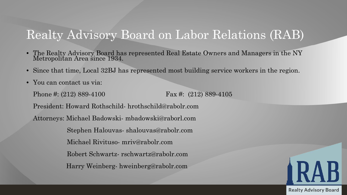# Realty Advisory Board on Labor Relations (RAB)

- The Realty Advisory Board has represented Real Estate Owners and Managers in the NY Metropolitan Area since 1934.
- Since that time, Local 32BJ has represented most building service workers in the region.
- You can contact us via:

Phone #: (212) 889-4100 Fax #: (212) 889-4105 President: Howard Rothschild- hrothschild@rabolr.com Attorneys: Michael Badowski- mbadowski@raborl.com Stephen Halouvas- shalouvas@rabolr.com Michael Rivituso- mriv@rabolr.com Robert Schwartz- rschwartz@rabolr.com Harry Weinberg- hweinberg@rabolr.com

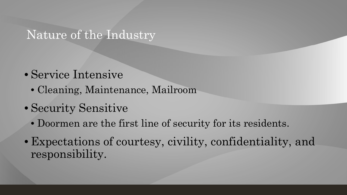### Nature of the Industry

- Service Intensive
	- Cleaning, Maintenance, Mailroom
- Security Sensitive
	- Doormen are the first line of security for its residents.
- Expectations of courtesy, civility, confidentiality, and responsibility.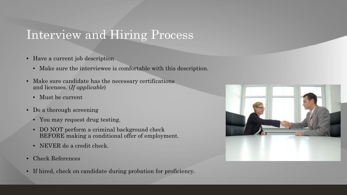# Interview and Hiring Process

- Have a current job description
	- Make sure the interviewee is comfortable with this description.
- Make sure candidate has the necessary certifications and licenses. (*If applicable*)
	- Must be current
- Do a thorough screening
	- You may request drug testing.
	- DO NOT perform a criminal background check BEFORE making a conditional offer of employment.
	- NEVER do a credit check.
- Check References
- If hired, check on candidate during probation for proficiency.

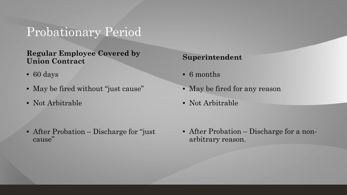## Probationary Period

#### **Regular Employee Covered by Union Contract**

- 60 days
- May be fired without "just cause"
- Not Arbitrable

• After Probation – Discharge for "just" cause"

#### **Superintendent**

- 6 months
- May be fired for any reason
- Not Arbitrable

• After Probation – Discharge for a nonarbitrary reason.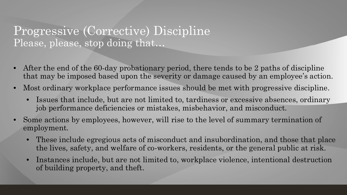### Progressive (Corrective) Discipline Please, please, stop doing that…

- After the end of the 60-day probationary period, there tends to be 2 paths of discipline that may be imposed based upon the severity or damage caused by an employee's action.
- Most ordinary workplace performance issues should be met with progressive discipline.
	- Issues that include, but are not limited to, tardiness or excessive absences, ordinary job performance deficiencies or mistakes, misbehavior, and misconduct.
- Some actions by employees, however, will rise to the level of summary termination of employment.
	- These include egregious acts of misconduct and insubordination, and those that place the lives, safety, and welfare of co-workers, residents, or the general public at risk.
	- Instances include, but are not limited to, workplace violence, intentional destruction of building property, and theft.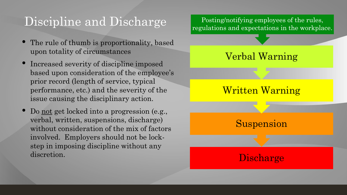# Discipline and Discharge

- The rule of thumb is proportionality, based upon totality of circumstances
- Increased severity of discipline imposed based upon consideration of the employee's prior record (length of service, typical performance, etc.) and the severity of the issue causing the disciplinary action.
- Do not get locked into a progression (e.g., verbal, written, suspensions, discharge) without consideration of the mix of factors involved. Employers should not be lockstep in imposing discipline without any discretion.

**Discharge** Suspension Written Warning Verbal Warning Posting/notifying employees of the rules, regulations and expectations in the workplace.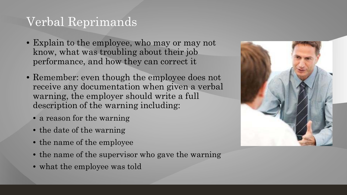## Verbal Reprimands

- Explain to the employee, who may or may not know, what was troubling about their job performance, and how they can correct it
- Remember: even though the employee does not receive any documentation when given a verbal warning, the employer should write a full description of the warning including:
	- a reason for the warning
	- the date of the warning
	- the name of the employee
	- the name of the supervisor who gave the warning
	- what the employee was told

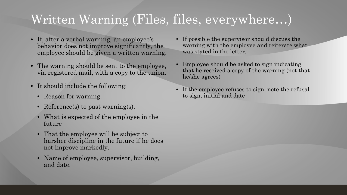# Written Warning (Files, files, everywhere…)

- If, after a verbal warning, an employee's behavior does not improve significantly, the employee should be given a written warning.
- The warning should be sent to the employee, via registered mail, with a copy to the union.
- It should include the following:
	- Reason for warning.
	- Reference(s) to past warning(s).
	- What is expected of the employee in the future
	- That the employee will be subject to harsher discipline in the future if he does not improve markedly.
	- Name of employee, supervisor, building, and date.
- If possible the supervisor should discuss the warning with the employee and reiterate what was stated in the letter.
- Employee should be asked to sign indicating that he received a copy of the warning (not that he/she agrees)
- If the employee refuses to sign, note the refusal to sign, initial and date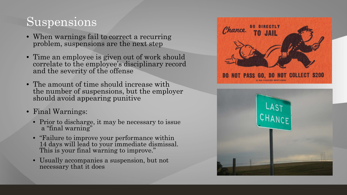# Suspensions

- When warnings fail to correct a recurring problem, suspensions are the next step
- Time an employee is given out of work should correlate to the employee's disciplinary record and the severity of the offense
- The amount of time should increase with the number of suspensions, but the employer should avoid appearing punitive
- Final Warnings:
	- Prior to discharge, it may be necessary to issue a "final warning"
	- "Failure to improve your performance within 14 days will lead to your immediate dismissal. This is your final warning to improve."
	- Usually accompanies a suspension, but not necessary that it does



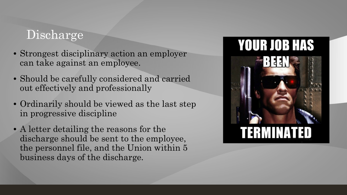# Discharge

- Strongest disciplinary action an employer can take against an employee.
- Should be carefully considered and carried out effectively and professionally
- Ordinarily should be viewed as the last step in progressive discipline
- A letter detailing the reasons for the discharge should be sent to the employee, the personnel file, and the Union within 5 business days of the discharge.

# **YOUR JOB HAS**

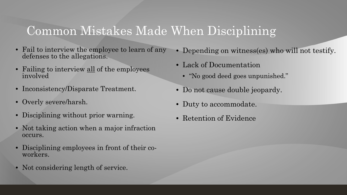## Common Mistakes Made When Disciplining

- Fail to interview the employee to learn of any defenses to the allegations.
- Failing to interview all of the employees involved
- Inconsistency/Disparate Treatment.
- Overly severe/harsh.
- Disciplining without prior warning.
- Not taking action when a major infraction occurs.
- Disciplining employees in front of their co-<br>workers.
- Not considering length of service.
- Depending on witness(es) who will not testify.
- Lack of Documentation
	- "No good deed goes unpunished."
- Do not cause double jeopardy.
- Duty to accommodate.
- Retention of Evidence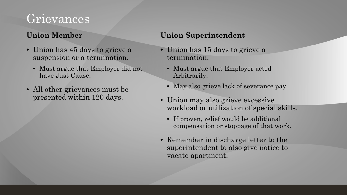# Grievances

#### **Union Member**

- Union has 45 days to grieve a suspension or a termination.
	- Must argue that Employer did not have Just Cause.
- All other grievances must be presented within 120 days.

#### **Union Superintendent**

- Union has 15 days to grieve a termination.
	- Must argue that Employer acted Arbitrarily.
	- May also grieve lack of severance pay.
- Union may also grieve excessive workload or utilization of special skills.
	- If proven, relief would be additional compensation or stoppage of that work.
- Remember in discharge letter to the superintendent to also give notice to vacate apartment.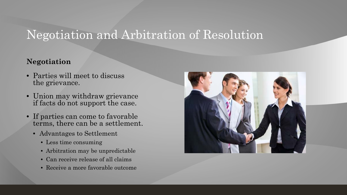# Negotiation and Arbitration of Resolution

#### **Negotiation**

- Parties will meet to discuss the grievance.
- Union may withdraw grievance if facts do not support the case.
- If parties can come to favorable terms, there can be a settlement.
	- Advantages to Settlement
		- Less time consuming
		- Arbitration may be unpredictable
		- Can receive release of all claims
		- Receive a more favorable outcome

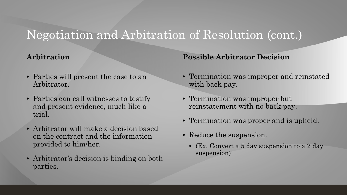# Negotiation and Arbitration of Resolution (cont.)

#### **Arbitration**

- Parties will present the case to an Arbitrator.
- Parties can call witnesses to testify and present evidence, much like a trial.
- Arbitrator will make a decision based on the contract and the information provided to him/her.
- Arbitrator's decision is binding on both parties.

**Possible Arbitrator Decision**

- Termination was improper and reinstated with back pay.
- Termination was improper but reinstatement with no back pay.
- Termination was proper and is upheld.
- Reduce the suspension.
	- (Ex. Convert a 5 day suspension to a 2 day suspension)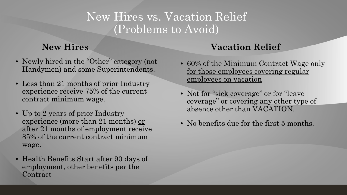### New Hires vs. Vacation Relief (Problems to Avoid)

#### **New Hires**

- Newly hired in the "Other" category (not Handymen) and some Superintendents.
- Less than 21 months of prior Industry experience receive 75% of the current contract minimum wage.
- Up to 2 years of prior Industry experience (more than 21 months) or after 21 months of employment receive 85% of the current contract minimum wage.
- Health Benefits Start after 90 days of employment, other benefits per the **Contract**

### **Vacation Relief**

- 60% of the Minimum Contract Wage only for those employees covering regular employees on vacation
- Not for "sick coverage" or for "leave" coverage" or covering any other type of absence other than VACATION.
- No benefits due for the first 5 months.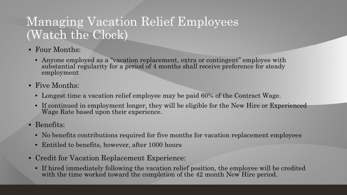# Managing Vacation Relief Employees (Watch the Clock)

- Four Months:
	- Anyone employed as a "vacation replacement, extra or contingent" employee with substantial regularity for a period of 4 months shall receive preference for steady employment
- Five Months:
	- Longest time a vacation relief employee may be paid 60% of the Contract Wage.
	- If continued in employment longer, they will be eligible for the New Hire or Experienced Wage Rate based upon their experience.
- Benefits:
	- No benefits contributions required for five months for vacation replacement employees
	- Entitled to benefits, however, after 1000 hours
- Credit for Vacation Replacement Experience:
	- If hired immediately following the vacation relief position, the employee will be credited with the time worked toward the completion of the 42 month New Hire period.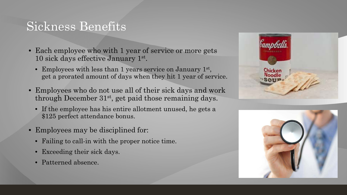### Sickness Benefits

- Each employee who with 1 year of service or more gets 10 sick days effective January 1st.
	- Employees with less than 1 years service on January 1<sup>st</sup>, get a prorated amount of days when they hit 1 year of service.
- Employees who do not use all of their sick days and work through December 31st, get paid those remaining days.
	- If the employee has his entire allotment unused, he gets a \$125 perfect attendance bonus.
- Employees may be disciplined for:
	- Failing to call-in with the proper notice time.
	- Exceeding their sick days.
	- Patterned absence.



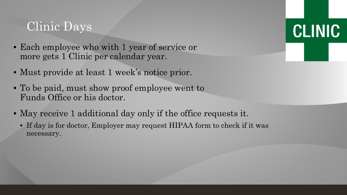# Clinic Days

- Each employee who with 1 year of service or more gets 1 Clinic per calendar year.
- Must provide at least 1 week's notice prior.
- To be paid, must show proof employee went to Funds Office or his doctor.
- May receive 1 additional day only if the office requests it.
	- If day is for doctor, Employer may request HIPAA form to check if it was necessary.

**CLINIC**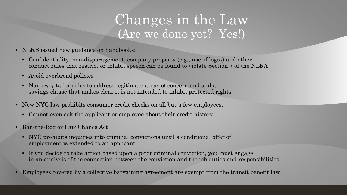# Changes in the Law (Are we done yet? Yes!)

- NLRB issued new guidance on handbooks:
	- Confidentiality, non-disparagement, company property (e.g., use of logos) and other conduct rules that restrict or inhibit speech can be found to violate Section 7 of the NLRA
	- Avoid overbroad policies
	- Narrowly tailor rules to address legitimate areas of concern and add a savings clause that makes clear it is not intended to inhibit protected rights
- New NYC law prohibits consumer credit checks on all but a few employees.
	- Cannot even ask the applicant or employee about their credit history.
- Ban-the-Box or Fair Chance Act
	- NYC prohibits inquiries into criminal convictions until a conditional offer of employment is extended to an applicant
	- If you decide to take action based upon a prior criminal conviction, you must engage in an analysis of the connection between the conviction and the job duties and responsibilities
- Employees covered by a collective bargaining agreement are exempt from the transit benefit law